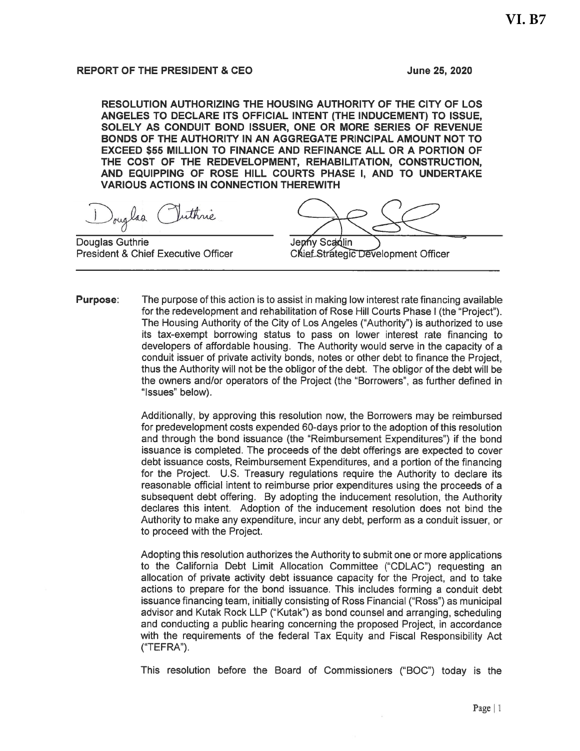# **REPORT OF THE PRESIDENT & CEO**

June 25, 2020

RESOLUTION AUTHORIZING THE HOUSING AUTHORITY OF THE CITY OF LOS ANGELES TO DECLARE ITS OFFICIAL INTENT (THE INDUCEMENT) TO ISSUE, SOLELY AS CONDUIT BOND ISSUER. ONE OR MORE SERIES OF REVENUE BONDS OF THE AUTHORITY IN AN AGGREGATE PRINCIPAL AMOUNT NOT TO **EXCEED \$55 MILLION TO FINANCE AND REFINANCE ALL OR A PORTION OF** THE COST OF THE REDEVELOPMENT, REHABILITATION, CONSTRUCTION, AND EQUIPPING OF ROSE HILL COURTS PHASE I, AND TO UNDERTAKE **VARIOUS ACTIONS IN CONNECTION THEREWITH** 

Touglas Vuthrie

**Douglas Guthrie President & Chief Executive Officer** 

Jenny Scanlin

**Chief Strategic Development Officer** 

**Purpose:** The purpose of this action is to assist in making low interest rate financing available for the redevelopment and rehabilitation of Rose Hill Courts Phase I (the "Project"). The Housing Authority of the City of Los Angeles ("Authority") is authorized to use its tax-exempt borrowing status to pass on lower interest rate financing to developers of affordable housing. The Authority would serve in the capacity of a conduit issuer of private activity bonds, notes or other debt to finance the Project. thus the Authority will not be the obligor of the debt. The obligor of the debt will be the owners and/or operators of the Project (the "Borrowers", as further defined in "Issues" below).

> Additionally, by approving this resolution now, the Borrowers may be reimbursed for predevelopment costs expended 60-days prior to the adoption of this resolution and through the bond issuance (the "Reimbursement Expenditures") if the bond issuance is completed. The proceeds of the debt offerings are expected to cover debt issuance costs, Reimbursement Expenditures, and a portion of the financing for the Project. U.S. Treasury regulations require the Authority to declare its reasonable official intent to reimburse prior expenditures using the proceeds of a subsequent debt offering. By adopting the inducement resolution, the Authority declares this intent. Adoption of the inducement resolution does not bind the Authority to make any expenditure, incur any debt, perform as a conduit issuer, or to proceed with the Project.

> Adopting this resolution authorizes the Authority to submit one or more applications to the California Debt Limit Allocation Committee ("CDLAC") requesting an allocation of private activity debt issuance capacity for the Project, and to take actions to prepare for the bond issuance. This includes forming a conduit debt issuance financing team, initially consisting of Ross Financial ("Ross") as municipal advisor and Kutak Rock LLP ("Kutak") as bond counsel and arranging, scheduling and conducting a public hearing concerning the proposed Project, in accordance with the requirements of the federal Tax Equity and Fiscal Responsibility Act ("TEFRA").

> This resolution before the Board of Commissioners ("BOC") today is the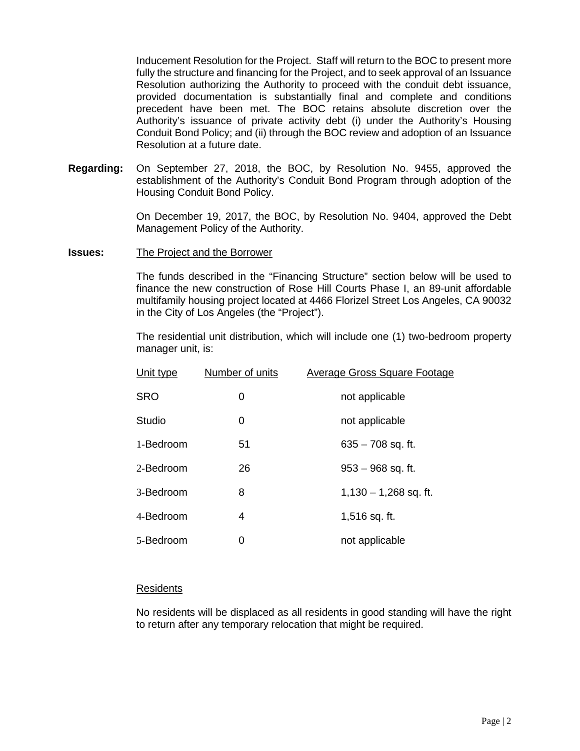Inducement Resolution for the Project. Staff will return to the BOC to present more fully the structure and financing for the Project, and to seek approval of an Issuance Resolution authorizing the Authority to proceed with the conduit debt issuance, provided documentation is substantially final and complete and conditions precedent have been met. The BOC retains absolute discretion over the Authority's issuance of private activity debt (i) under the Authority's Housing Conduit Bond Policy; and (ii) through the BOC review and adoption of an Issuance Resolution at a future date.

**Regarding:** On September 27, 2018, the BOC, by Resolution No. 9455, approved the establishment of the Authority's Conduit Bond Program through adoption of the Housing Conduit Bond Policy.

> On December 19, 2017, the BOC, by Resolution No. 9404, approved the Debt Management Policy of the Authority.

**Issues:** The Project and the Borrower

The funds described in the "Financing Structure" section below will be used to finance the new construction of Rose Hill Courts Phase I, an 89-unit affordable multifamily housing project located at 4466 Florizel Street Los Angeles, CA 90032 in the City of Los Angeles (the "Project").

The residential unit distribution, which will include one (1) two-bedroom property manager unit, is:

| Unit type  | Number of units | Average Gross Square Footage |  |  |
|------------|-----------------|------------------------------|--|--|
| <b>SRO</b> | 0               | not applicable               |  |  |
| Studio     | 0               | not applicable               |  |  |
| 1-Bedroom  | 51              | $635 - 708$ sq. ft.          |  |  |
| 2-Bedroom  | 26              | $953 - 968$ sq. ft.          |  |  |
| 3-Bedroom  | 8               | $1,130 - 1,268$ sq. ft.      |  |  |
| 4-Bedroom  | 4               | 1,516 sq. ft.                |  |  |
| 5-Bedroom  | 0               | not applicable               |  |  |

### Residents

No residents will be displaced as all residents in good standing will have the right to return after any temporary relocation that might be required.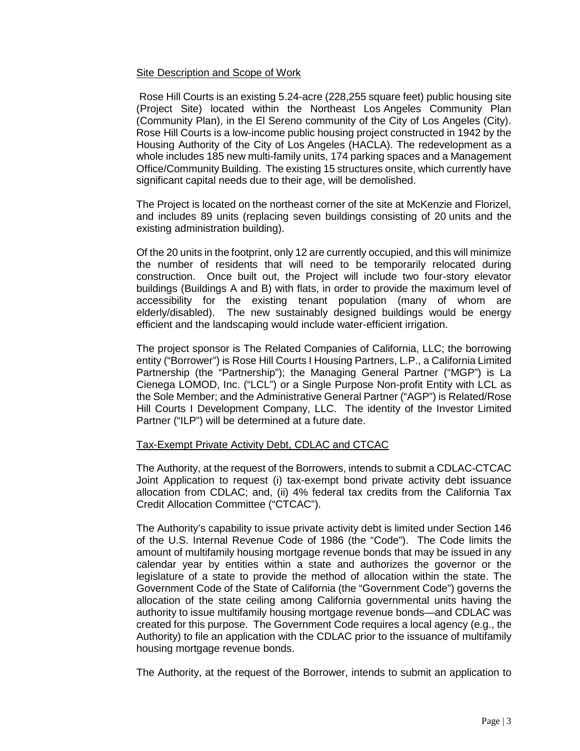# Site Description and Scope of Work

Rose Hill Courts is an existing 5.24-acre (228,255 square feet) public housing site (Project Site) located within the Northeast Los Angeles Community Plan (Community Plan), in the El Sereno community of the City of Los Angeles (City). Rose Hill Courts is a low-income public housing project constructed in 1942 by the Housing Authority of the City of Los Angeles (HACLA). The redevelopment as a whole includes 185 new multi-family units, 174 parking spaces and a Management Office/Community Building. The existing 15 structures onsite, which currently have significant capital needs due to their age, will be demolished.

The Project is located on the northeast corner of the site at McKenzie and Florizel, and includes 89 units (replacing seven buildings consisting of 20 units and the existing administration building).

Of the 20 units in the footprint, only 12 are currently occupied, and this will minimize the number of residents that will need to be temporarily relocated during construction. Once built out, the Project will include two four-story elevator buildings (Buildings A and B) with flats, in order to provide the maximum level of accessibility for the existing tenant population (many of whom are elderly/disabled). The new sustainably designed buildings would be energy efficient and the landscaping would include water-efficient irrigation.

The project sponsor is The Related Companies of California, LLC; the borrowing entity ("Borrower") is Rose Hill Courts I Housing Partners, L.P., a California Limited Partnership (the "Partnership"); the Managing General Partner ("MGP") is La Cienega LOMOD, Inc. ("LCL") or a Single Purpose Non-profit Entity with LCL as the Sole Member; and the Administrative General Partner ("AGP") is Related/Rose Hill Courts I Development Company, LLC. The identity of the Investor Limited Partner ("ILP") will be determined at a future date.

### Tax-Exempt Private Activity Debt, CDLAC and CTCAC

The Authority, at the request of the Borrowers, intends to submit a CDLAC-CTCAC Joint Application to request (i) tax-exempt bond private activity debt issuance allocation from CDLAC; and, (ii) 4% federal tax credits from the California Tax Credit Allocation Committee ("CTCAC").

The Authority's capability to issue private activity debt is limited under Section 146 of the U.S. Internal Revenue Code of 1986 (the "Code"). The Code limits the amount of multifamily housing mortgage revenue bonds that may be issued in any calendar year by entities within a state and authorizes the governor or the legislature of a state to provide the method of allocation within the state. The Government Code of the State of California (the "Government Code") governs the allocation of the state ceiling among California governmental units having the authority to issue multifamily housing mortgage revenue bonds—and CDLAC was created for this purpose. The Government Code requires a local agency (e.g., the Authority) to file an application with the CDLAC prior to the issuance of multifamily housing mortgage revenue bonds.

The Authority, at the request of the Borrower, intends to submit an application to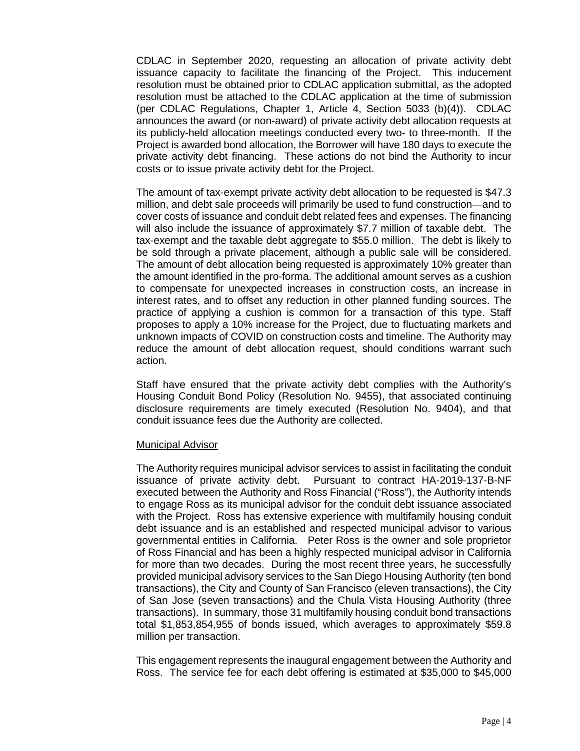CDLAC in September 2020, requesting an allocation of private activity debt issuance capacity to facilitate the financing of the Project. This inducement resolution must be obtained prior to CDLAC application submittal, as the adopted resolution must be attached to the CDLAC application at the time of submission (per CDLAC Regulations, Chapter 1, Article 4, Section 5033 (b)(4)). CDLAC announces the award (or non-award) of private activity debt allocation requests at its publicly-held allocation meetings conducted every two- to three-month. If the Project is awarded bond allocation, the Borrower will have 180 days to execute the private activity debt financing. These actions do not bind the Authority to incur costs or to issue private activity debt for the Project.

The amount of tax-exempt private activity debt allocation to be requested is \$47.3 million, and debt sale proceeds will primarily be used to fund construction—and to cover costs of issuance and conduit debt related fees and expenses. The financing will also include the issuance of approximately \$7.7 million of taxable debt. The tax-exempt and the taxable debt aggregate to \$55.0 million. The debt is likely to be sold through a private placement, although a public sale will be considered. The amount of debt allocation being requested is approximately 10% greater than the amount identified in the pro-forma. The additional amount serves as a cushion to compensate for unexpected increases in construction costs, an increase in interest rates, and to offset any reduction in other planned funding sources. The practice of applying a cushion is common for a transaction of this type. Staff proposes to apply a 10% increase for the Project, due to fluctuating markets and unknown impacts of COVID on construction costs and timeline. The Authority may reduce the amount of debt allocation request, should conditions warrant such action.

Staff have ensured that the private activity debt complies with the Authority's Housing Conduit Bond Policy (Resolution No. 9455), that associated continuing disclosure requirements are timely executed (Resolution No. 9404), and that conduit issuance fees due the Authority are collected.

#### Municipal Advisor

The Authority requires municipal advisor services to assist in facilitating the conduit issuance of private activity debt. Pursuant to contract HA-2019-137-B-NF executed between the Authority and Ross Financial ("Ross"), the Authority intends to engage Ross as its municipal advisor for the conduit debt issuance associated with the Project. Ross has extensive experience with multifamily housing conduit debt issuance and is an established and respected municipal advisor to various governmental entities in California. Peter Ross is the owner and sole proprietor of Ross Financial and has been a highly respected municipal advisor in California for more than two decades. During the most recent three years, he successfully provided municipal advisory services to the San Diego Housing Authority (ten bond transactions), the City and County of San Francisco (eleven transactions), the City of San Jose (seven transactions) and the Chula Vista Housing Authority (three transactions). In summary, those 31 multifamily housing conduit bond transactions total \$1,853,854,955 of bonds issued, which averages to approximately \$59.8 million per transaction.

This engagement represents the inaugural engagement between the Authority and Ross. The service fee for each debt offering is estimated at \$35,000 to \$45,000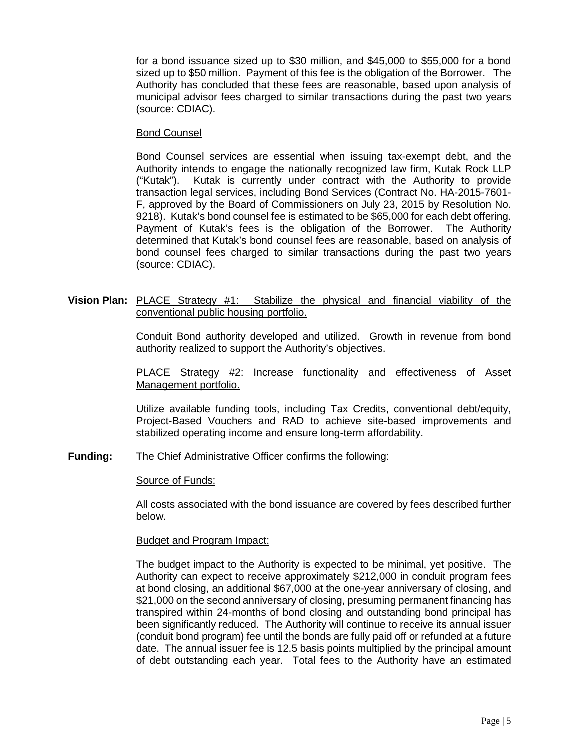for a bond issuance sized up to \$30 million, and \$45,000 to \$55,000 for a bond sized up to \$50 million. Payment of this fee is the obligation of the Borrower. The Authority has concluded that these fees are reasonable, based upon analysis of municipal advisor fees charged to similar transactions during the past two years (source: CDIAC).

### Bond Counsel

Bond Counsel services are essential when issuing tax-exempt debt, and the Authority intends to engage the nationally recognized law firm, Kutak Rock LLP ("Kutak"). Kutak is currently under contract with the Authority to provide transaction legal services, including Bond Services (Contract No. HA-2015-7601- F, approved by the Board of Commissioners on July 23, 2015 by Resolution No. 9218). Kutak's bond counsel fee is estimated to be \$65,000 for each debt offering. Payment of Kutak's fees is the obligation of the Borrower. The Authority determined that Kutak's bond counsel fees are reasonable, based on analysis of bond counsel fees charged to similar transactions during the past two years (source: CDIAC).

**Vision Plan:** PLACE Strategy #1: Stabilize the physical and financial viability of the conventional public housing portfolio.

> Conduit Bond authority developed and utilized. Growth in revenue from bond authority realized to support the Authority's objectives.

# PLACE Strategy #2: Increase functionality and effectiveness of Asset Management portfolio.

Utilize available funding tools, including Tax Credits, conventional debt/equity, Project-Based Vouchers and RAD to achieve site-based improvements and stabilized operating income and ensure long-term affordability.

**Funding:** The Chief Administrative Officer confirms the following:

### Source of Funds:

All costs associated with the bond issuance are covered by fees described further below.

# Budget and Program Impact:

The budget impact to the Authority is expected to be minimal, yet positive. The Authority can expect to receive approximately \$212,000 in conduit program fees at bond closing, an additional \$67,000 at the one-year anniversary of closing, and \$21,000 on the second anniversary of closing, presuming permanent financing has transpired within 24-months of bond closing and outstanding bond principal has been significantly reduced. The Authority will continue to receive its annual issuer (conduit bond program) fee until the bonds are fully paid off or refunded at a future date. The annual issuer fee is 12.5 basis points multiplied by the principal amount of debt outstanding each year. Total fees to the Authority have an estimated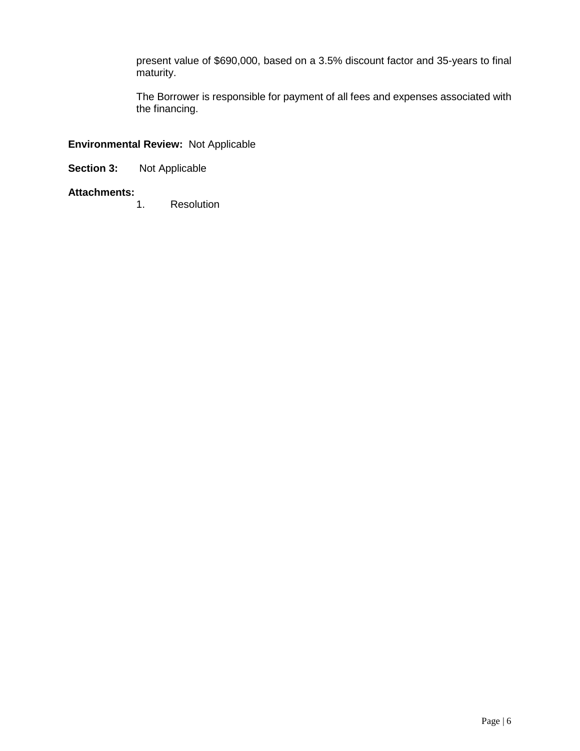present value of \$690,000, based on a 3.5% discount factor and 35-years to final maturity.

The Borrower is responsible for payment of all fees and expenses associated with the financing.

# **Environmental Review:** Not Applicable

**Section 3:** Not Applicable

# **Attachments:**

**Resolution**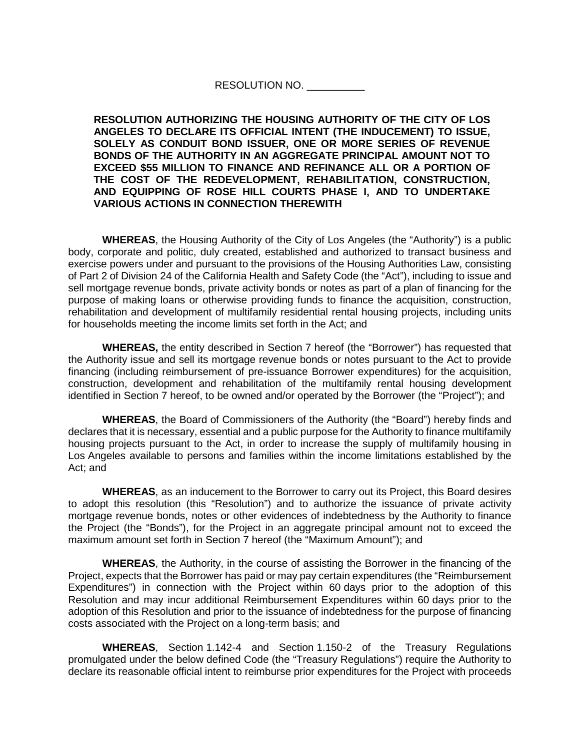# RESOLUTION NO.

**RESOLUTION AUTHORIZING THE HOUSING AUTHORITY OF THE CITY OF LOS ANGELES TO DECLARE ITS OFFICIAL INTENT (THE INDUCEMENT) TO ISSUE, SOLELY AS CONDUIT BOND ISSUER, ONE OR MORE SERIES OF REVENUE BONDS OF THE AUTHORITY IN AN AGGREGATE PRINCIPAL AMOUNT NOT TO EXCEED \$55 MILLION TO FINANCE AND REFINANCE ALL OR A PORTION OF THE COST OF THE REDEVELOPMENT, REHABILITATION, CONSTRUCTION, AND EQUIPPING OF ROSE HILL COURTS PHASE I, AND TO UNDERTAKE VARIOUS ACTIONS IN CONNECTION THEREWITH**

**WHEREAS**, the Housing Authority of the City of Los Angeles (the "Authority") is a public body, corporate and politic, duly created, established and authorized to transact business and exercise powers under and pursuant to the provisions of the Housing Authorities Law, consisting of Part 2 of Division 24 of the California Health and Safety Code (the "Act"), including to issue and sell mortgage revenue bonds, private activity bonds or notes as part of a plan of financing for the purpose of making loans or otherwise providing funds to finance the acquisition, construction, rehabilitation and development of multifamily residential rental housing projects, including units for households meeting the income limits set forth in the Act; and

**WHEREAS,** the entity described in Section 7 hereof (the "Borrower") has requested that the Authority issue and sell its mortgage revenue bonds or notes pursuant to the Act to provide financing (including reimbursement of pre-issuance Borrower expenditures) for the acquisition, construction, development and rehabilitation of the multifamily rental housing development identified in Section 7 hereof, to be owned and/or operated by the Borrower (the "Project"); and

**WHEREAS**, the Board of Commissioners of the Authority (the "Board") hereby finds and declares that it is necessary, essential and a public purpose for the Authority to finance multifamily housing projects pursuant to the Act, in order to increase the supply of multifamily housing in Los Angeles available to persons and families within the income limitations established by the Act; and

**WHEREAS**, as an inducement to the Borrower to carry out its Project, this Board desires to adopt this resolution (this "Resolution") and to authorize the issuance of private activity mortgage revenue bonds, notes or other evidences of indebtedness by the Authority to finance the Project (the "Bonds"), for the Project in an aggregate principal amount not to exceed the maximum amount set forth in Section 7 hereof (the "Maximum Amount"); and

**WHEREAS**, the Authority, in the course of assisting the Borrower in the financing of the Project, expects that the Borrower has paid or may pay certain expenditures (the "Reimbursement Expenditures") in connection with the Project within 60 days prior to the adoption of this Resolution and may incur additional Reimbursement Expenditures within 60 days prior to the adoption of this Resolution and prior to the issuance of indebtedness for the purpose of financing costs associated with the Project on a long-term basis; and

**WHEREAS**, Section 1.142-4 and Section 1.150-2 of the Treasury Regulations promulgated under the below defined Code (the "Treasury Regulations") require the Authority to declare its reasonable official intent to reimburse prior expenditures for the Project with proceeds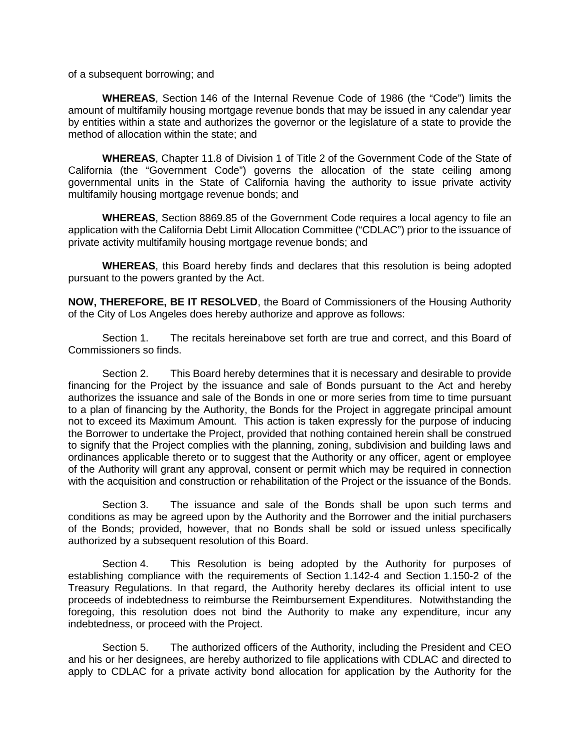of a subsequent borrowing; and

**WHEREAS**, Section 146 of the Internal Revenue Code of 1986 (the "Code") limits the amount of multifamily housing mortgage revenue bonds that may be issued in any calendar year by entities within a state and authorizes the governor or the legislature of a state to provide the method of allocation within the state; and

**WHEREAS**, Chapter 11.8 of Division 1 of Title 2 of the Government Code of the State of California (the "Government Code") governs the allocation of the state ceiling among governmental units in the State of California having the authority to issue private activity multifamily housing mortgage revenue bonds; and

**WHEREAS**, Section 8869.85 of the Government Code requires a local agency to file an application with the California Debt Limit Allocation Committee ("CDLAC") prior to the issuance of private activity multifamily housing mortgage revenue bonds; and

**WHEREAS**, this Board hereby finds and declares that this resolution is being adopted pursuant to the powers granted by the Act.

**NOW, THEREFORE, BE IT RESOLVED**, the Board of Commissioners of the Housing Authority of the City of Los Angeles does hereby authorize and approve as follows:

Section 1. The recitals hereinabove set forth are true and correct, and this Board of Commissioners so finds.

Section 2. This Board hereby determines that it is necessary and desirable to provide financing for the Project by the issuance and sale of Bonds pursuant to the Act and hereby authorizes the issuance and sale of the Bonds in one or more series from time to time pursuant to a plan of financing by the Authority, the Bonds for the Project in aggregate principal amount not to exceed its Maximum Amount. This action is taken expressly for the purpose of inducing the Borrower to undertake the Project, provided that nothing contained herein shall be construed to signify that the Project complies with the planning, zoning, subdivision and building laws and ordinances applicable thereto or to suggest that the Authority or any officer, agent or employee of the Authority will grant any approval, consent or permit which may be required in connection with the acquisition and construction or rehabilitation of the Project or the issuance of the Bonds.

Section 3. The issuance and sale of the Bonds shall be upon such terms and conditions as may be agreed upon by the Authority and the Borrower and the initial purchasers of the Bonds; provided, however, that no Bonds shall be sold or issued unless specifically authorized by a subsequent resolution of this Board.

Section 4. This Resolution is being adopted by the Authority for purposes of establishing compliance with the requirements of Section 1.142-4 and Section 1.150-2 of the Treasury Regulations. In that regard, the Authority hereby declares its official intent to use proceeds of indebtedness to reimburse the Reimbursement Expenditures. Notwithstanding the foregoing, this resolution does not bind the Authority to make any expenditure, incur any indebtedness, or proceed with the Project.

Section 5. The authorized officers of the Authority, including the President and CEO and his or her designees, are hereby authorized to file applications with CDLAC and directed to apply to CDLAC for a private activity bond allocation for application by the Authority for the